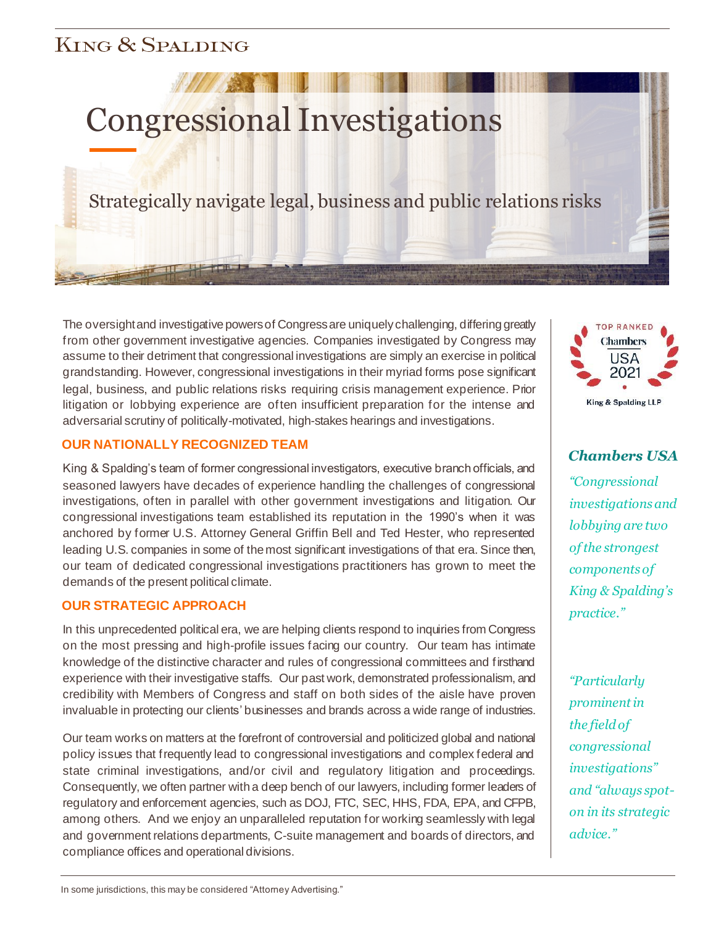# **KING & SPALDING**

# Congressional Investigations

Strategically navigate legal, business and public relations risks

The oversight and investigative powers of Congress are uniquely challenging, differing greatly from other government investigative agencies. Companies investigated by Congress may assume to their detriment that congressional investigations are simply an exercise in political grandstanding. However, congressional investigations in their myriad forms pose significant legal, business, and public relations risks requiring crisis management experience. Prior litigation or lobbying experience are often insufficient preparation for the intense and adversarial scrutiny of politically-motivated, high-stakes hearings and investigations.

## **OUR NATIONALLY RECOGNIZED TEAM**

King & Spalding's team of former congressional investigators, executive branch officials, and seasoned lawyers have decades of experience handling the challenges of congressional investigations, often in parallel with other government investigations and litigation. Our congressional investigations team established its reputation in the 1990's when it was anchored by former U.S. Attorney General Griffin Bell and Ted Hester, who represented leading U.S. companies in some of the most significant investigations of that era. Since then, our team of dedicated congressional investigations practitioners has grown to meet the demands of the present political climate.

## **OUR STRATEGIC APPROACH**

In this unprecedented political era, we are helping clients respond to inquiries from Congress on the most pressing and high-profile issues facing our country. Our team has intimate knowledge of the distinctive character and rules of congressional committees and firsthand experience with their investigative staffs. Our past work, demonstrated professionalism, and credibility with Members of Congress and staff on both sides of the aisle have proven invaluable in protecting our clients' businesses and brands across a wide range of industries.

Our team works on matters at the forefront of controversial and politicized global and national policy issues that frequently lead to congressional investigations and complex federal and state criminal investigations, and/or civil and regulatory litigation and proceedings. Consequently, we often partner with a deep bench of our lawyers, including former leaders of regulatory and enforcement agencies, such as DOJ, FTC, SEC, HHS, FDA, EPA, and CFPB, among others. And we enjoy an unparalleled reputation for working seamlessly with legal and government relations departments, C-suite management and boards of directors, and compliance offices and operational divisions.



*Chambers USA*

*"Congressional investigations and lobbying are two of the strongest components of King & Spalding's practice."*

*"Particularly prominent in the field of congressional investigations" and "always spoton in its strategic advice."*